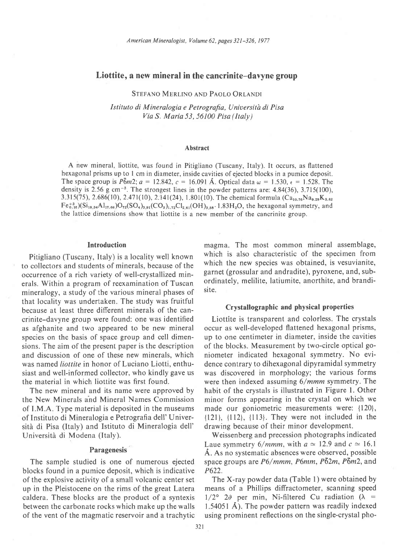# Liottite, a new mineral in the cancrinite-davyne group

STEFANO MERLINO AND PAOLO ORLANDI

Istituto di Mineralogia e Petrografia, Università di Pisa Via S. Maria 53, 56100 Pisa (Italy)

### Abstract

A new mineral, liottite, was found in Pitigliano (Tuscany, Italy). It occurs, as flattened hexagonal prisms up to I cm in diameter, inside cavities of ejected blocks in a pumice deposit. The space group is  $\overline{P_0m2}$ :  $a=12.842$ ,  $c=16.091$  Å. Optical data  $\omega=1.530$ ,  $\epsilon=1.528$ . The density is 2.56 g cm<sup>-3</sup>. The strongest lines in the powder patterns are:  $4.84(36)$ ,  $3.715(100)$ , 3.315(75), 2.686(10), 2.471(10), 2.141(24), 1.801(10). The chemical formula  $(Ca_{10.76}Na_{9.29}K_{9.82}$  $Fe_{0.16}^{+3}$  $(Si_{18.34}Al_{17.66} )O_{72}(SO_4)_{3.91}(CO_3)_{1.72}Cl_{2.61}(OH)_{3.58}$ . 1.83H<sub>2</sub>O, the hexagonal symmetry, and the lattice dimensions show that liottite is a new member of the cancrinite group.

## Introduction

Pitigliano (Tuscany, Italy) is a locality well known to collectors and students of minerals, because of the occurrence of a rich variety of well-crystallized minerals. Within a program of reexamination of Tuscan mineralogy, a study of the various mineral phases of that locality was undertaken. The study was fruitful because at least three different minerals of the cancrinite-davyne group were found: one was identified as afghanite and two appeared to be new mineral species on the basis of space group and cell dimensions. The aim of the present paper is the description and discussion of one of these new minerals, which was named liottite in honor of Luciano Liotti, enthusiast and well-informed collector, who kindly gave us the material in which liottite was first found.

The new mineral and its name were approved by the New Minerals ahd Mineral Names Commission of LM.A. Type material is deposited in the museums of Instituto di Mineralogia e Petrografia dell' Università di Pisa (Italy) and Istituto di Mineralogia dell' Università di Modena (Italy).

## **Paragenesis**

The sample studied is one of numerous ejected blocks found in a pumice deposit, which is indicative of the explosive activity of a small volcanic center set up in the Pleistocene on the rims of the great Laten caldera. These blocks are the product of a syntexis between the carbonate rocks which make up the walls of the vent of the magmatic reservoir and a trachytic magma. The most common mineral assemblage, which is also characteristic of the specimen from which the new species was obtained, is vesuvianite, garnet (grossular and andradite), pyroxene, and, subordinately, melilite, latiumite, anorthite, and brandisite.

## Crystallographic and physical properties

Liottite is transparent and colorless. The crystals occur as well-developed flattened hexagonal prisms, up to one centimeter in diameter, inside the cavities of the blocks. Measurement by two-circle optical goniometer indicated hexagonal symmetry. No evidence contrary to dihexagonal dipyramidal symmetry was discovered in morphology; the various forms were then indexed assuming  $6/mmm$  symmetry. The habit of the crystals is illustrated in Figure l. Other minor forms appearing in the crystal on which we made our goniometric measurements were: {120},  $\{121\}$ ,  $\{112\}$ ,  $\{113\}$ . They were not included in the drawing because of their minor development.

Weissenberg and precession photographs indicated Laue symmetry 6/*mmm*, with  $a \approx 12.9$  and  $c \approx 16.1$ A. As no systematic absences were observed, possible space groups are  $P6/mmm$ ,  $P6mm$ ,  $P\bar{6}2m$ ,  $P\bar{6}m2$ , and P622.

The X-ray powder data (Table 1) were obtained by means of a Phillips diffractometer, scanning speed  $1/2^{\circ}$  20 per min, Ni-filtered Cu radiation ( $\lambda$  = 1.54051 Å). The powder pattern was readily indexed using prominent reflections on the single-crystal pho-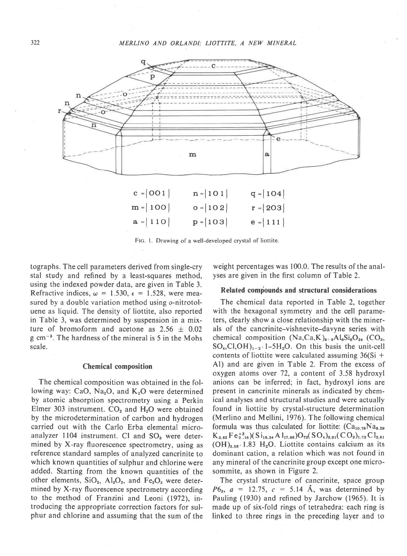

Flc. l. Drawing of a well-developed crystal of liottite.

tographs. The cell parameters derived from single-cry stal study and refined by a least-squares method, using the indexed powder data, are given in Table 3. Refractive indices,  $\omega = 1.530$ ,  $\epsilon = 1.528$ , were measured by a double variation method using o-nitrotoluene as liquid. The density of liottite, also reported in Table 3, was determined by suspension in a mixture of bromoform and acetone as  $2.56 \pm 0.02$ g cm<sup>-3</sup>. The hardness of the mineral is 5 in the Mohs scale.

 $a = 110$ 

### Chemical composition

The chemical composition was obtained in the following way: CaO, Na<sub>2</sub>O, and  $K_2O$  were determined by atomic absorption spectrometry using a Perkin Elmer 303 instrument.  $CO<sub>2</sub>$  and  $H<sub>2</sub>O$  were obtained by the microdetermination of carbon and hydrogen carried out with the Carlo Erba elemental microanalyzer 1104 instrument. Cl and SO<sub>3</sub> were determined by X-ray fluorescence spectrometry, using as reference standard samples of analyzed cancrinite to which known quantities of sulphur and chlorine were added. Starting from the known quantities of the other elements,  $SiO_2$ ,  $Al_2O_3$ , and  $Fe_2O_3$  were determined by X-ray fluorescence spectrometry according to the method of Franzini and Leoni (1972), introducing the appropriate correction factors for sulphur and chlorine and assuming that the sum of the weight percentages was 100.0. The results of the analyses are given in the first column of Table 2.

 $e = |111|$ 

## Related compounds and structural considerations

The chemical data reported in Table 2, together with the hexagonal symmetry and the cell parameters, clearly show a close relationship with the minerals of the cancrinite-vishnevite-davyne series with chemical composition  $(Na,Ca,K)_{6-a}Al_6Si_6O_{24}$  (CO<sub>3</sub>,  $SO_4, Cl, OH$ <sub>1-2</sub>  $1-5H_2O$ . On this basis the unit-cell contents of liottite were calculated assuming  $36(Si +$ Al) and are given in Table 2. From the excess of oxygen atoms over 72, a content of 3.58 hydroxyl anions can be inferred; in fact, hydroxyl ions are present in cancrinite minerals as indicated by chemical analyses and structural studies and were actually found in liottite by crystal-structure determination (Merlino and Mellini, 1976). The following chemical formula was thus calculated for liottite:  $(Ca_{10.76}Na_{9.29})$  $K_{3.82}$  F e  $_{0.16}^{+3}$  (S i<sub>18.34</sub> A l<sub>17.66</sub>)O<sub>72</sub>(SO<sub>4</sub>)<sub>3.91</sub>(CO<sub>3</sub>)<sub>1.72</sub> C l<sub>2.61</sub>  $(OH)_{3.58} \cdot 1.83$  H<sub>2</sub>O. Liottite contains calcium as its dominant cation, a relation which was not found in any mineral of the cancrinite group except one microsommite, as shown in Figure 2.

The crystal structure of cancrinite, space group  $P6_3$ ,  $a = 12.75$ ,  $c = 5.14$  A, was determined by Pauling (1930) and refined by Jarchow (1965). It is made up of six-fold rings of tetrahedra: each ring is linked to three rings in the preceding layer and to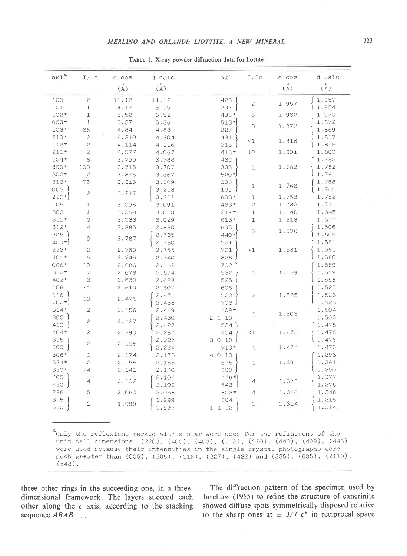| $_{\rm hkl}$ $^{\rm a}$ | $I/I$ o        | d obs           | d calc | hkl                                                                                                                                                                                               | $I/I$ o        | d obs | d calc |
|-------------------------|----------------|-----------------|--------|---------------------------------------------------------------------------------------------------------------------------------------------------------------------------------------------------|----------------|-------|--------|
|                         |                | (A)             | (A)    |                                                                                                                                                                                                   |                | (A)   | (A)    |
| 100                     | $\overline{c}$ | 11.12           | 11.12  | 423                                                                                                                                                                                               | 2              | 1.957 | 1.957  |
| 101                     | 1              | 9.17            | 9.15   | 307                                                                                                                                                                                               |                |       | 1.954  |
| $102*$                  | $1\,$          | 6.52            | 6.52   | 406*                                                                                                                                                                                              | 6              | 1.932 | 1.930  |
| $003*$                  | 1              | 5.37            | 5.36   | $513*$                                                                                                                                                                                            | 3              | 1.872 | 1.872  |
| $103*$                  | 36             | 4.84            | 4.83   | 227                                                                                                                                                                                               |                |       | 1.869  |
| $210*$                  | $\mathbf{c}$   | 4.210           | 4.204  | 431                                                                                                                                                                                               | $\leq 1$       | 1.816 | 1.817  |
| $113*$                  | $\mathbf{2}$   | 4.114           | 4.116  | 218                                                                                                                                                                                               |                |       | 1.815  |
| $211*$                  | $\mathfrak{p}$ | 4.077           | 4.067  | 416*                                                                                                                                                                                              | 10             | 1.801 | 1.800  |
| $104*$                  | 8              | 3.790           | 3.783  | 432                                                                                                                                                                                               |                |       | 1.783  |
| $300*$                  | 100            | 3.715           | 3.707  | 335                                                                                                                                                                                               | ũ.             | 1.782 | 1.782  |
| $302*$                  | $\overline{c}$ | 3.375           | 3.367  | 520*)                                                                                                                                                                                             |                |       | 1.781  |
| $213*$                  | 75             | 3.315           | 3.309  | 308                                                                                                                                                                                               |                |       | 1.768  |
| 005                     |                |                 | 3.218  | 109                                                                                                                                                                                               | 1              | 1.768 | 1.765  |
| $220*$                  | $\mathfrak{p}$ | 3.217           | 3.211  | 603*                                                                                                                                                                                              | 1              | 1.753 | 1.752  |
| 105                     | 1              | 3.095           | 3.091  | 433*                                                                                                                                                                                              | $\mathbf{c}$   | 1.732 | 1.731  |
| 303                     | $\mathbf 1$    | 3.058           | 3.050  | $219*$                                                                                                                                                                                            | $\mathbbm{1}$  | 1.646 | 1.645  |
| $311*$                  | 3              | 3.033           | 3.029  | 613*                                                                                                                                                                                              | $\mathbf{1}$   | 1.618 | 1.617  |
| $312*$                  | $\overline{4}$ | 2.885           | 2.880  | 605                                                                                                                                                                                               |                |       | 1.606  |
| 205                     |                |                 | 2.785  | 440 *                                                                                                                                                                                             | 6              | 1.606 | 1.605  |
| 400*                    | 9              | 2.787           | 2.780  | 531                                                                                                                                                                                               |                |       | 1.581  |
| $223*$                  | $\mathfrak{S}$ | 2.760           | 2.755  | 701                                                                                                                                                                                               | $\leq 1$       | 1.581 | 1.581  |
| 401*                    | 5              | 2.745           | 2,740  | 328                                                                                                                                                                                               |                |       | 1.580  |
| 006*                    | 10             | 2.686           | 2.682  | 702                                                                                                                                                                                               |                |       | 1.559  |
| $313*$                  | 7              | 2.678           | 2.674  | 532                                                                                                                                                                                               | 1              | 1.559 | 1.559  |
| $402*$                  | 3              | 2.630           | 2.628  | 525                                                                                                                                                                                               |                |       | 1.558  |
| 106                     | $\leq$ 1       | 2.610           | 2.607  | 606                                                                                                                                                                                               |                |       | 1.525  |
| 116                     |                |                 | 2.475  | 533                                                                                                                                                                                               | 2              | 1.525 | 1.523  |
| $403*$                  | 10             | 2.471           | 2.468  | 703 J                                                                                                                                                                                             |                |       | 1.523  |
| $314*$                  | $\overline{c}$ | 2.456           | 2.449  | $409*$                                                                                                                                                                                            |                |       | 1.504  |
| 305                     |                |                 | 2.430  | 2110                                                                                                                                                                                              | 1              | 1.505 | 1.503  |
| 410                     | $\overline{c}$ | 2.427           | 2.427  | 534                                                                                                                                                                                               |                |       | 1.478  |
| $404*$                  | $\mathbf{2}$   | 2.290           |        | 704                                                                                                                                                                                               | $\leq 1$       | 1.478 | 1.478  |
| 315                     |                |                 | 2,287  |                                                                                                                                                                                                   |                |       | 1.476  |
| 500                     | 2              | 2.225           | 2.227  | 3010                                                                                                                                                                                              |                | 1.474 | 1.473  |
|                         |                |                 | 2.224  | 710*                                                                                                                                                                                              | 1              |       |        |
| $306*$                  | $\mathbf 1$    | 2.174           | 2.173  | 4 0 10                                                                                                                                                                                            |                |       | 1.393  |
| $324*$                  | $\mathfrak 2$  | 2.155           | 2.155  | 625                                                                                                                                                                                               | ı              | 1.391 | 1.391  |
| $330*$                  | 24             | 2.141           | 2,140  | 800                                                                                                                                                                                               |                |       | 1.390  |
| 405                     | 4              | 2.102           | 2.104  | 446*                                                                                                                                                                                              | 4              | 1.378 | 1.377  |
| 420                     |                |                 | 2.102  | 543                                                                                                                                                                                               |                |       | 1.376  |
| 226                     | 5              | 2.060           | 2.058  | 803*                                                                                                                                                                                              | $\overline{4}$ | 1.346 | 1.346  |
| 325                     |                | $1.999$ $1.999$ | 1.999  | 804<br>$\left\{\n \begin{array}{ccc}\n 1 & 1 & 12 \\ 1 & 1 & 2\n \end{array}\n \right\}\n \quad\n 1 \quad 1.314\n \quad\n \left\{\n \begin{array}{ccc}\n 1.315 \\ 1.314\n \end{array}\n \right\}$ |                |       | 1.315  |
| 510                     |                |                 |        |                                                                                                                                                                                                   |                |       |        |

TABLE 1. X-ray powder diffraction data for liottite

three other rings in the succeeding one, in a threedimensional framework. The layers succeed each other along the  $c$  axis, according to the stacking sequence  $ABAB$ ...

 $(543)$ .

The diffraction pattern of the specimen used by Jarchow (1965) to refine the structure of cancrinite showed diffuse spots symmetrically disposed relative to the sharp ones at  $\pm$  3/7  $c^*$  in reciprocal space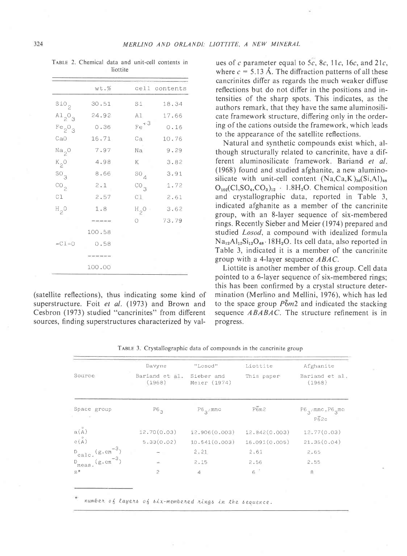TABLE 2. Chemical data and unit-cell contents in liottite

|                                | wt.%   |                 | cell contents |
|--------------------------------|--------|-----------------|---------------|
| $S10_{2}$                      | 30.51  | Si              | 18.34         |
| $A1_{2}O_{3}$                  | 24.92  | A1              | 17.66         |
| Fe <sub>2</sub> O <sub>3</sub> | 0.36   | $Fe+3$          | 0.16          |
| CaO                            | 16.71  | Ca              | 10.76         |
| Na <sub>2</sub> O              | 7.97   | Na              | 9.29          |
| $K_2O$                         | 4.98   | K               | 3.82          |
| $SO_{3}$                       | 8.66   | ${}^{50}4$      | 3.91          |
| $\mathrm{co}_2$                | 2.1    | CO <sub>3</sub> | 1.72          |
| C1                             | 2.57   | C1              | 2.61          |
| $H_{2}O$                       | 1.8    | $H_{2}O$        | 3.62          |
|                                | -----  | $\circ$         | 73.79         |
|                                | 100.58 |                 |               |
| $-C1=0$                        | 0.58   |                 |               |
|                                |        |                 |               |
|                                | 100.00 |                 |               |

(satellite reflections), thus indicating some kind of superstructure. Foit et al. (1973) and Brown and Cesbron (1973) studied "cancrinites" from different sources, finding superstructures characterized by val-

ues of c parameter equal to 5c, 8c, 11c, 16c, and 21c, where  $c = 5.13$  Å. The diffraction patterns of all these cancrinites differ as regards the much weaker diffuse reflections but do not differ in the positions and intensities of the sharp spots. This indicates, as the authors remark, that they have the same aluminosilicate framework structure, differing only in the ordering of the cations outside the framework, which leads to the appearance of the satellite reflections.

Natural and synthetic compounds exist which, although structurally related to cancrinite, have a different aluminosilicate framework. Bariand et al. (1968) found and studied afghanite, a new aluminosilicate with unit-cell content  $(Na, Ca, K)_{36}(Si, Al)_{48}$  $O_{102}(Cl, SO_4, CO_3)_{12}$  · 1.8H<sub>2</sub>O. Chemical composition and crystallographic data, reported in Table 3, indicated afghanite as a member of the cancrinite group, with an 8-layer sequence of six-membered rings. Recently Sieber and Meier (1974) prepared and studied Losod, a compound with idealized formula  $Na<sub>12</sub>A<sub>12</sub>S<sub>12</sub>O<sub>48</sub>$ . 18H<sub>2</sub>O. Its cell data, also reported in Table 3, indicated it is a member of the cancrinite group with a 4-layer sequence ABAC.

Liottite is another member of this group. Cell data pointed to a 6-layer sequence of six-membered rings; this has been confirmed by a crystal structure determination (Merlino and Mellini, 1976), which has led to the space group  $\overline{P_0}m_2$  and indicated the stacking sequence ABABAC. The structure refinement is in progress.

|                                                                | Davyne                   | "Losod"                    | Liottite      | Afghanite                         |  |
|----------------------------------------------------------------|--------------------------|----------------------------|---------------|-----------------------------------|--|
| Source                                                         | Bariand et al.<br>(1968) | Sieber and<br>Meier (1974) | This paper    | Bariand et al.<br>(1968)          |  |
| Space group<br>(4)                                             | $P6_{3}$                 | $P6_{\alpha}$ /mmc         | P6m2          | $P6_{3}$ mmc, $P6_{3}$ mc<br>P62c |  |
| a(A)                                                           | 12.70(0.03)              | 12.906(0.003)              | 12.842(0.003) | 12.77(0.03)                       |  |
| c(A)                                                           | 5.33(0.02)               | 10.541(0.003)              | 16.091(0.005) | 21.35(0.04)                       |  |
| $D_{\text{calc.}}(g.cm^{-3})$<br>$D_{\text{meas.}}(g.cm^{-3})$ |                          | 2.21                       | 2.61          | 2.65                              |  |
|                                                                | ä.                       | 2.15                       | 2.56          | 2.55                              |  |
| $Z^*$                                                          | $\overline{\phantom{a}}$ | $\overline{4}$             | $6^{\circ}$   | 8                                 |  |

TABLE 3. Crystallographic data of compounds in the cancrinite group

number of layers of six-membered rings in the sequence.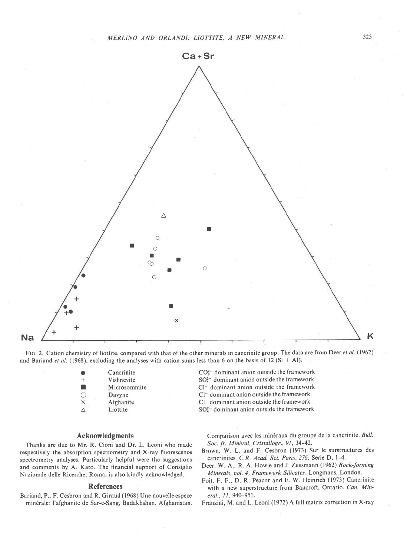

FIG. 2. Cation chemistry of liottite, compared with that of the other minerals in cancrinite group. The data are from Deer et al. (1962) and Bariand et al. (1968), excluding the analyses with cation sums less than 6 on the basis of 12 (Si + Al).

> Cancrinite + Vishnevite<br>■ Microsomi Microsommite O Davyne<br>X Afghani **Afghanite**  $\triangle$  Liottite

### Acknowledgments

Thanks are due to Mr. R. Cioni and Dr. L. Leoni who made respectively the absorption spectrometry and X-ray fluorescence spectrometry analyses. Particularly helpful were the suggestions and comments by A. Kato. The financial support of Consiglio Nazionale delle Ricerche, Roma, is also kindly acknowledged.

#### References

Bariand, P., F. Cesbron and R. Giraud (1968) Une nouvelle espèce min6rale: I'afghanite de Sar-e-Sang, Badakhshan, Afghanistan. CO<sub>3</sub><sup>-</sup> dominant anion outside the framework

- SO?- dominant anion outside the framework
- Cl<sup>-</sup> dominant anion outside the framework
- Cl<sup>-</sup> dominant anion outside the framework
- $Cl^-$  dominant anion outside the framework

 $SO<sub>4</sub><sup>2-</sup>$  dominant anion outside the framework

Comparison avec les minéraux du groupe de la cancrinite. Bull. Soc. fr. Minéral, Cristallogr., 91, 34-42.

Brown, W. L. and F. Cesbron (1973) Sur le surstructures des cancrinites. C.R. Acad. Sci. Paris, 276, Serie D, l-4.

Deer, W. A., R. A. Howie and J. Zussmann (1962) Rock-forming Minerals, uol. 4, Framework Silicates. Longmans, London,

Foit, F. F., D. R. Peacor and E. W. Heinrich (1973) Cancrinite with a new superstructure from Bancroft, Ontario. Can. Mineral., 11, 940-951.

Franzini, M. and L. Leoni (1972) A full matrix correction in X-ray